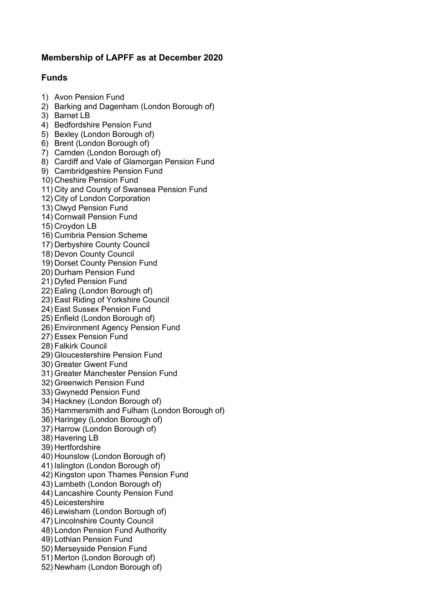## **Membership of LAPFF as at December 2020**

## **Funds**

- 1) Avon Pension Fund
- 2) Barking and Dagenham (London Borough of)
- 3) Barnet LB
- 4) Bedfordshire Pension Fund
- 5) Bexley (London Borough of)
- 6) Brent (London Borough of)
- 7) Camden (London Borough of)
- 8) Cardiff and Vale of Glamorgan Pension Fund
- 9) Cambridgeshire Pension Fund
- 10) Cheshire Pension Fund
- 11) City and County of Swansea Pension Fund
- 12) City of London Corporation
- 13) Clwyd Pension Fund
- 14) Cornwall Pension Fund
- 15) Croydon LB
- 16) Cumbria Pension Scheme
- 17) Derbyshire County Council
- 18) Devon County Council
- 19) Dorset County Pension Fund
- 20) Durham Pension Fund
- 21) Dyfed Pension Fund
- 22) Ealing (London Borough of)
- 23) East Riding of Yorkshire Council
- 24) East Sussex Pension Fund
- 25) Enfield (London Borough of)
- 26) Environment Agency Pension Fund
- 27) Essex Pension Fund
- 28) Falkirk Council
- 29) Gloucestershire Pension Fund
- 30) Greater Gwent Fund
- 31) Greater Manchester Pension Fund
- 32) Greenwich Pension Fund
- 33) Gwynedd Pension Fund
- 34) Hackney (London Borough of)
- 35) Hammersmith and Fulham (London Borough of)
- 36) Haringey (London Borough of)
- 37) Harrow (London Borough of)
- 38) Havering LB
- 39) Hertfordshire
- 40) Hounslow (London Borough of)
- 41) Islington (London Borough of)
- 42) Kingston upon Thames Pension Fund
- 43) Lambeth (London Borough of)
- 44) Lancashire County Pension Fund
- 45) Leicestershire
- 46) Lewisham (London Borough of)
- 47) Lincolnshire County Council
- 48) London Pension Fund Authority
- 49) Lothian Pension Fund
- 50) Merseyside Pension Fund
- 51) Merton (London Borough of)
- 52) Newham (London Borough of)